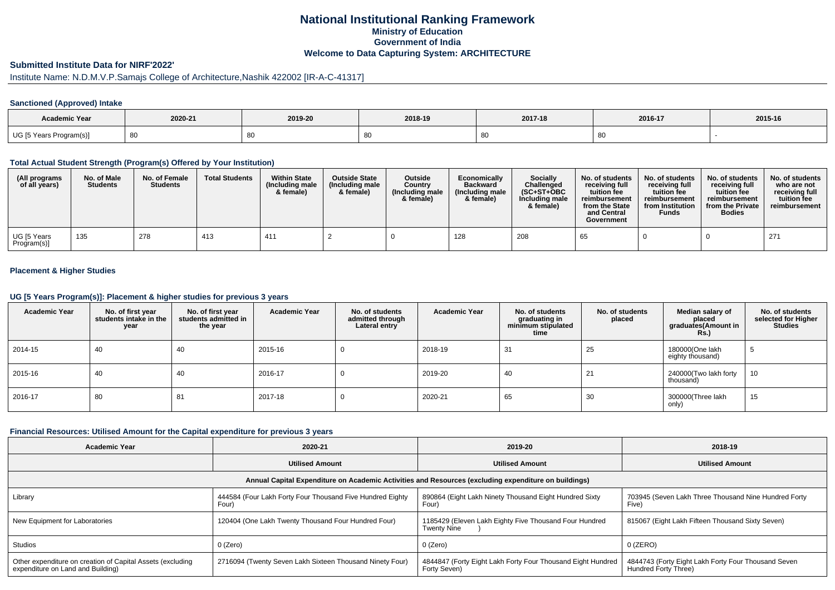# **National Institutional Ranking FrameworkMinistry of Education Government of IndiaWelcome to Data Capturing System: ARCHITECTURE**

# **Submitted Institute Data for NIRF'2022'**

# Institute Name: N.D.M.V.P.Samajs College of Architecture,Nashik 422002 [IR-A-C-41317]

### **Sanctioned (Approved) Intake**

| Academic Year           |         |         |         |         |         |         |
|-------------------------|---------|---------|---------|---------|---------|---------|
|                         | 2020-21 | 2019-20 | 2018-19 | 2017-18 | 2016-17 | 2015-16 |
| UG [5 Years Program(s)] | -80     |         | - 80    |         | ◡◡      |         |

#### **Total Actual Student Strength (Program(s) Offered by Your Institution)**

| (All programs<br>of all years) | No. of Male<br><b>Students</b> | No. of Female<br><b>Students</b> | <b>Total Students</b> | <b>Within State</b><br>(Including male<br>& female) | <b>Outside State</b><br>(Including male)<br>& female) | <b>Outside</b><br>Country<br>(Including male<br>& female) | Economically<br><b>Backward</b><br>(Including male<br>& female) | <b>Socially</b><br>Challenged<br>$(SC+ST+OBC$<br>Including male<br>& female) | No. of students<br>receiving full<br>tuition fee<br>reimbursement<br>from the State<br>and Central<br>Government | No. of students<br>receiving full<br>tuition fee<br>reimbursement<br>from Institution<br><b>Funds</b> | No. of students<br>receiving full<br>tuition fee<br>reimbursement<br>from the Private<br><b>Bodies</b> | No. of students<br>who are not<br>receiving full<br>tuition fee<br>reimbursement |
|--------------------------------|--------------------------------|----------------------------------|-----------------------|-----------------------------------------------------|-------------------------------------------------------|-----------------------------------------------------------|-----------------------------------------------------------------|------------------------------------------------------------------------------|------------------------------------------------------------------------------------------------------------------|-------------------------------------------------------------------------------------------------------|--------------------------------------------------------------------------------------------------------|----------------------------------------------------------------------------------|
| UG [5 Years<br>Program(s)]     | 135                            | 278                              | 413                   | 411                                                 |                                                       |                                                           | 128                                                             | 208                                                                          | 65                                                                                                               |                                                                                                       |                                                                                                        | 271                                                                              |

### **Placement & Higher Studies**

#### **UG [5 Years Program(s)]: Placement & higher studies for previous 3 years**

| <b>Academic Year</b> | No. of first year<br>students intake in the<br>year | No. of first year<br>students admitted in<br>the year | <b>Academic Year</b> | No. of students<br>admitted through<br>Lateral entry | <b>Academic Year</b> | No. of students<br>graduating in<br>minimum stipulated<br>time | No. of students<br>placed | Median salary of<br>placed<br>graduates(Amount in<br>Rs. | No. of students<br>selected for Higher<br><b>Studies</b> |
|----------------------|-----------------------------------------------------|-------------------------------------------------------|----------------------|------------------------------------------------------|----------------------|----------------------------------------------------------------|---------------------------|----------------------------------------------------------|----------------------------------------------------------|
| 2014-15              | 40                                                  | 40                                                    | 2015-16              | U                                                    | 2018-19              | 31                                                             | 25                        | 180000(One lakh<br>eighty thousand)                      | - 0                                                      |
| 2015-16              | 40                                                  | 40                                                    | 2016-17              | <b>U</b>                                             | 2019-20              | 40                                                             | 21                        | 240000(Two lakh forty<br>thousand)                       | 10                                                       |
| 2016-17              | 80                                                  | 81                                                    | 2017-18              | υ                                                    | 2020-21              | 65                                                             | 30                        | 300000(Three lakh<br>only)                               | 15                                                       |

#### **Financial Resources: Utilised Amount for the Capital expenditure for previous 3 years**

| Academic Year                                                                                        | 2020-21                                                            | 2019-20                                                                     | 2018-19                                                                       |  |  |  |  |  |  |
|------------------------------------------------------------------------------------------------------|--------------------------------------------------------------------|-----------------------------------------------------------------------------|-------------------------------------------------------------------------------|--|--|--|--|--|--|
|                                                                                                      | <b>Utilised Amount</b>                                             | <b>Utilised Amount</b>                                                      | <b>Utilised Amount</b>                                                        |  |  |  |  |  |  |
| Annual Capital Expenditure on Academic Activities and Resources (excluding expenditure on buildings) |                                                                    |                                                                             |                                                                               |  |  |  |  |  |  |
| Library                                                                                              | 444584 (Four Lakh Forty Four Thousand Five Hundred Eighty<br>Four) | 890864 (Eight Lakh Ninety Thousand Eight Hundred Sixty<br>Four)             | 703945 (Seven Lakh Three Thousand Nine Hundred Forty<br>Five)                 |  |  |  |  |  |  |
| New Equipment for Laboratories                                                                       | 120404 (One Lakh Twenty Thousand Four Hundred Four)                | 1185429 (Eleven Lakh Eighty Five Thousand Four Hundred<br>Twenty Nine       | 815067 (Eight Lakh Fifteen Thousand Sixty Seven)                              |  |  |  |  |  |  |
| Studios                                                                                              | 0 (Zero)                                                           | 0 (Zero)                                                                    | 0 (ZERO)                                                                      |  |  |  |  |  |  |
| Other expenditure on creation of Capital Assets (excluding<br>expenditure on Land and Building)      | 2716094 (Twenty Seven Lakh Sixteen Thousand Ninety Four)           | 4844847 (Forty Eight Lakh Forty Four Thousand Eight Hundred<br>Forty Seven) | 1 4844743 (Forty Eight Lakh Forty Four Thousand Seven<br>Hundred Forty Three) |  |  |  |  |  |  |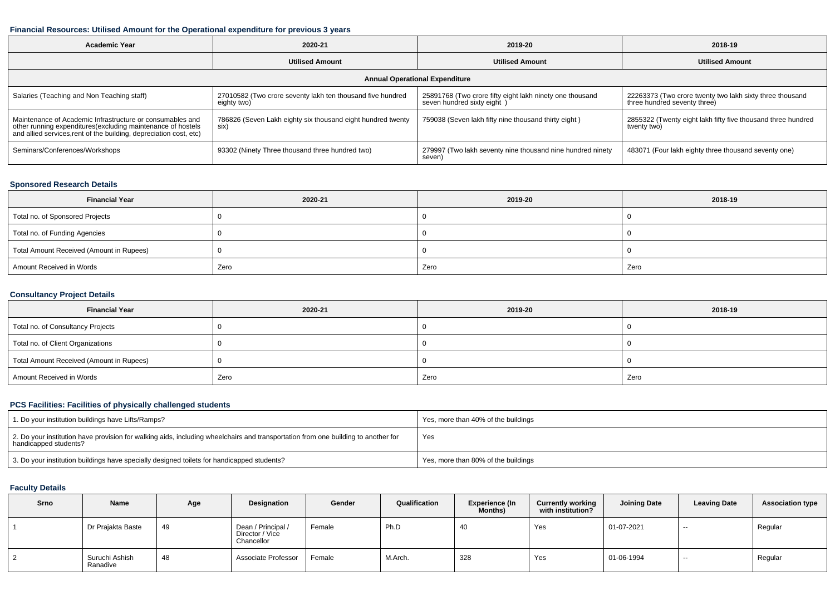#### **Financial Resources: Utilised Amount for the Operational expenditure for previous 3 years**

| <b>Academic Year</b>                                                                                                                                                                           | 2020-21                                                                   |                                                                                        | 2018-19                                                                                  |  |  |  |  |  |  |  |
|------------------------------------------------------------------------------------------------------------------------------------------------------------------------------------------------|---------------------------------------------------------------------------|----------------------------------------------------------------------------------------|------------------------------------------------------------------------------------------|--|--|--|--|--|--|--|
|                                                                                                                                                                                                | <b>Utilised Amount</b>                                                    | <b>Utilised Amount</b>                                                                 | <b>Utilised Amount</b>                                                                   |  |  |  |  |  |  |  |
| <b>Annual Operational Expenditure</b>                                                                                                                                                          |                                                                           |                                                                                        |                                                                                          |  |  |  |  |  |  |  |
| Salaries (Teaching and Non Teaching staff)                                                                                                                                                     | 27010582 (Two crore seventy lakh ten thousand five hundred<br>eighty two) | 25891768 (Two crore fifty eight lakh ninety one thousand<br>seven hundred sixty eight) | 22263373 (Two crore twenty two lakh sixty three thousand<br>three hundred seventy three) |  |  |  |  |  |  |  |
| Maintenance of Academic Infrastructure or consumables and<br>other running expenditures(excluding maintenance of hostels<br>and allied services, rent of the building, depreciation cost, etc) | 786826 (Seven Lakh eighty six thousand eight hundred twenty<br>six)       | 759038 (Seven lakh fifty nine thousand thirty eight)                                   | 2855322 (Twenty eight lakh fifty five thousand three hundred<br>twenty two)              |  |  |  |  |  |  |  |
| Seminars/Conferences/Workshops                                                                                                                                                                 | 93302 (Ninety Three thousand three hundred two)                           | 279997 (Two lakh seventy nine thousand nine hundred ninety<br>seven)                   | 483071 (Four lakh eighty three thousand seventy one)                                     |  |  |  |  |  |  |  |

## **Sponsored Research Details**

| <b>Financial Year</b>                    | 2020-21 | 2019-20 | 2018-19 |
|------------------------------------------|---------|---------|---------|
| Total no. of Sponsored Projects          |         |         |         |
| Total no. of Funding Agencies            |         |         |         |
| Total Amount Received (Amount in Rupees) |         |         |         |
| Amount Received in Words                 | Zero    | Zero    | Zero    |

## **Consultancy Project Details**

| <b>Financial Year</b>                    | 2020-21 | 2019-20 | 2018-19 |
|------------------------------------------|---------|---------|---------|
| Total no. of Consultancy Projects        |         |         |         |
| Total no. of Client Organizations        |         |         |         |
| Total Amount Received (Amount in Rupees) |         |         |         |
| Amount Received in Words                 | Zero    | Zero    | Zero    |

## **PCS Facilities: Facilities of physically challenged students**

| 1. Do your institution buildings have Lifts/Ramps?                                                                                                         | Yes, more than 40% of the buildings |
|------------------------------------------------------------------------------------------------------------------------------------------------------------|-------------------------------------|
| 2. Do your institution have provision for walking aids, including wheelchairs and transportation from one building to another for<br>handicapped students? | Yes                                 |
| 3. Do your institution buildings have specially designed toilets for handicapped students?                                                                 | Yes, more than 80% of the buildings |

### **Faculty Details**

| Srno | Name                       | Age | Designation                                         | Gender | Qualification | <b>Experience (In</b><br><b>Months)</b> | <b>Currently working</b><br>with institution? | Joining Date | <b>Leaving Date</b> | <b>Association type</b> |
|------|----------------------------|-----|-----------------------------------------------------|--------|---------------|-----------------------------------------|-----------------------------------------------|--------------|---------------------|-------------------------|
|      | Dr Prajakta Baste          | 49  | Dean / Principal /<br>Director / Vice<br>Chancellor | Female | Ph.D          |                                         | Yes                                           | 01-07-2021   | $- -$               | Regular                 |
|      | Suruchi Ashish<br>Ranadive | 48  | Associate Professor                                 | Female | M.Arch.       | 328                                     | Yes                                           | 01-06-1994   | $- -$               | Regular                 |